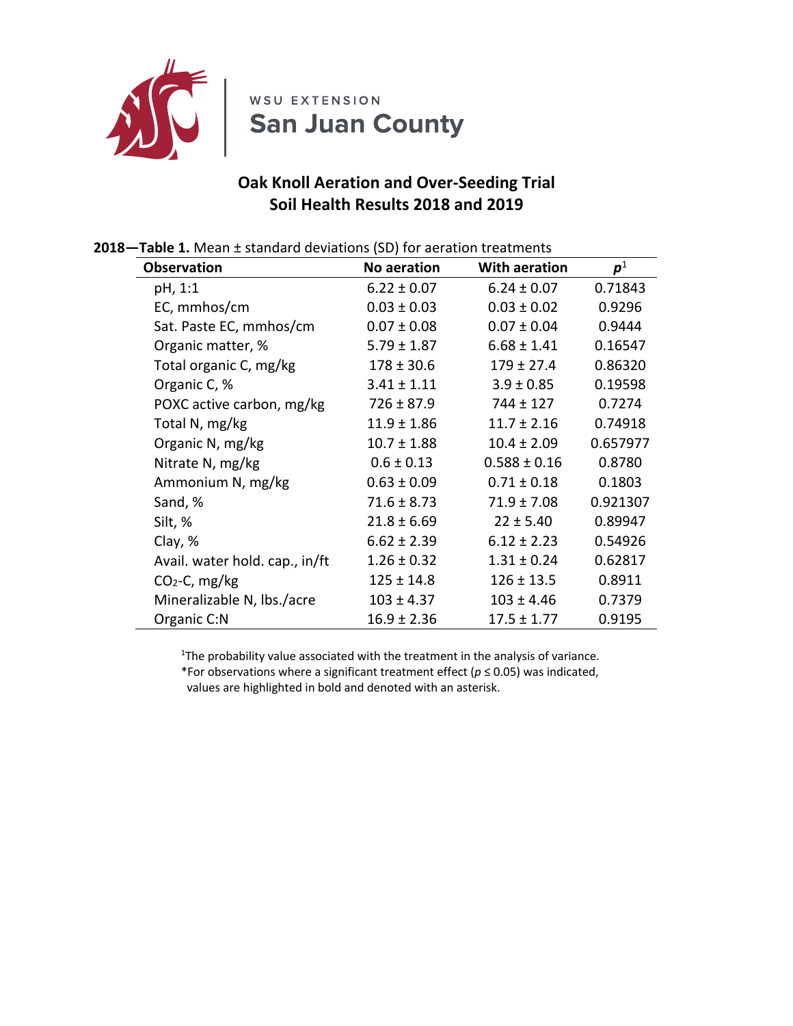

# **Oak Knoll Aeration and Over-Seeding Trial Soil Health Results 2018 and 2019**

| ט⊥ט | $\sim$ rabic 1. ivicari $\pm$ stariuaru deviations (SD) for acration treatments |                 |                      |                    |
|-----|---------------------------------------------------------------------------------|-----------------|----------------------|--------------------|
|     | <b>Observation</b>                                                              | No aeration     | <b>With aeration</b> | $\boldsymbol{p}^1$ |
|     | pH, 1:1                                                                         | $6.22 \pm 0.07$ | $6.24 \pm 0.07$      | 0.71843            |
|     | EC, mmhos/cm                                                                    | $0.03 \pm 0.03$ | $0.03 \pm 0.02$      | 0.9296             |
|     | Sat. Paste EC, mmhos/cm                                                         | $0.07 \pm 0.08$ | $0.07 \pm 0.04$      | 0.9444             |
|     | Organic matter, %                                                               | $5.79 \pm 1.87$ | $6.68 \pm 1.41$      | 0.16547            |
|     | Total organic C, mg/kg                                                          | $178 \pm 30.6$  | $179 \pm 27.4$       | 0.86320            |
|     | Organic C, %                                                                    | $3.41 \pm 1.11$ | $3.9 \pm 0.85$       | 0.19598            |
|     | POXC active carbon, mg/kg                                                       | $726 \pm 87.9$  | $744 \pm 127$        | 0.7274             |
|     | Total N, mg/kg                                                                  | $11.9 \pm 1.86$ | $11.7 \pm 2.16$      | 0.74918            |
|     | Organic N, mg/kg                                                                | $10.7 \pm 1.88$ | $10.4 \pm 2.09$      | 0.657977           |
|     | Nitrate N, mg/kg                                                                | $0.6 \pm 0.13$  | $0.588 \pm 0.16$     | 0.8780             |
|     | Ammonium N, mg/kg                                                               | $0.63 \pm 0.09$ | $0.71 \pm 0.18$      | 0.1803             |
|     | Sand, %                                                                         | $71.6 \pm 8.73$ | $71.9 \pm 7.08$      | 0.921307           |
|     | Silt, %                                                                         | $21.8 \pm 6.69$ | $22 \pm 5.40$        | 0.89947            |
|     | Clay, %                                                                         | $6.62 \pm 2.39$ | $6.12 \pm 2.23$      | 0.54926            |
|     | Avail. water hold. cap., in/ft                                                  | $1.26 \pm 0.32$ | $1.31 \pm 0.24$      | 0.62817            |
|     | $CO2-C$ , mg/kg                                                                 | $125 \pm 14.8$  | $126 \pm 13.5$       | 0.8911             |
|     | Mineralizable N, lbs./acre                                                      | $103 \pm 4.37$  | $103 \pm 4.46$       | 0.7379             |
|     | Organic C:N                                                                     | $16.9 \pm 2.36$ | $17.5 \pm 1.77$      | 0.9195             |

**2018—Table 1.** Mean ± standard deviations (SD) for aeration treatments

 $1$ The probability value associated with the treatment in the analysis of variance. \*For observations where a significant treatment effect (*p* ≤ 0.05) was indicated, values are highlighted in bold and denoted with an asterisk.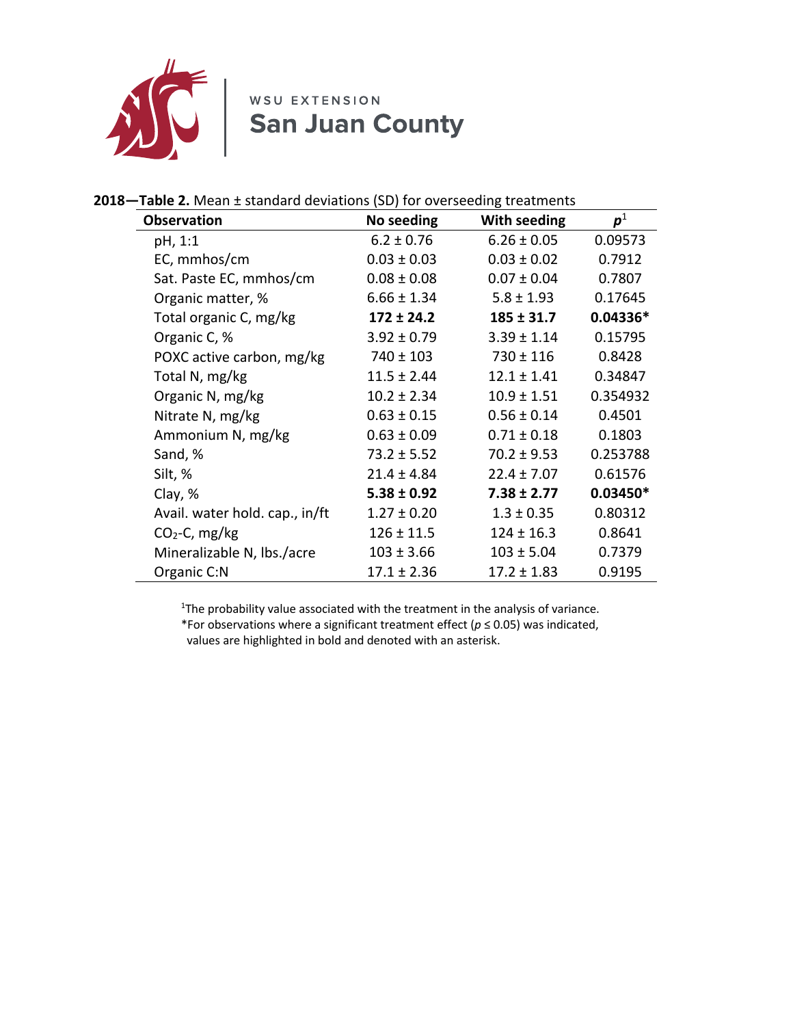

## **2018—Table 2.** Mean ± standard deviations (SD) for overseeding treatments

| <b>Observation</b>             | No seeding      | With seeding    | $\boldsymbol{p}^1$ |
|--------------------------------|-----------------|-----------------|--------------------|
| pH, 1:1                        | $6.2 \pm 0.76$  | $6.26 \pm 0.05$ | 0.09573            |
| EC, mmhos/cm                   | $0.03 \pm 0.03$ | $0.03 \pm 0.02$ | 0.7912             |
| Sat. Paste EC, mmhos/cm        | $0.08 \pm 0.08$ | $0.07 \pm 0.04$ | 0.7807             |
| Organic matter, %              | $6.66 \pm 1.34$ | $5.8 \pm 1.93$  | 0.17645            |
| Total organic C, mg/kg         | $172 \pm 24.2$  | $185 \pm 31.7$  | $0.04336*$         |
| Organic C, %                   | $3.92 \pm 0.79$ | $3.39 \pm 1.14$ | 0.15795            |
| POXC active carbon, mg/kg      | $740 \pm 103$   | $730 \pm 116$   | 0.8428             |
| Total N, mg/kg                 | $11.5 \pm 2.44$ | $12.1 \pm 1.41$ | 0.34847            |
| Organic N, mg/kg               | $10.2 \pm 2.34$ | $10.9 \pm 1.51$ | 0.354932           |
| Nitrate N, mg/kg               | $0.63 \pm 0.15$ | $0.56 \pm 0.14$ | 0.4501             |
| Ammonium N, mg/kg              | $0.63 \pm 0.09$ | $0.71 \pm 0.18$ | 0.1803             |
| Sand, %                        | $73.2 \pm 5.52$ | $70.2 \pm 9.53$ | 0.253788           |
| Silt, %                        | $21.4 \pm 4.84$ | $22.4 \pm 7.07$ | 0.61576            |
| Clay, %                        | $5.38 \pm 0.92$ | $7.38 \pm 2.77$ | $0.03450*$         |
| Avail. water hold. cap., in/ft | $1.27 \pm 0.20$ | $1.3 \pm 0.35$  | 0.80312            |
| $CO2-C$ , mg/kg                | $126 \pm 11.5$  | $124 \pm 16.3$  | 0.8641             |
| Mineralizable N, lbs./acre     | $103 \pm 3.66$  | $103 \pm 5.04$  | 0.7379             |
| Organic C:N                    | 17.1 ± 2.36     | $17.2 \pm 1.83$ | 0.9195             |

<sup>1</sup>The probability value associated with the treatment in the analysis of variance. \*For observations where a significant treatment effect (*p* ≤ 0.05) was indicated, values are highlighted in bold and denoted with an asterisk.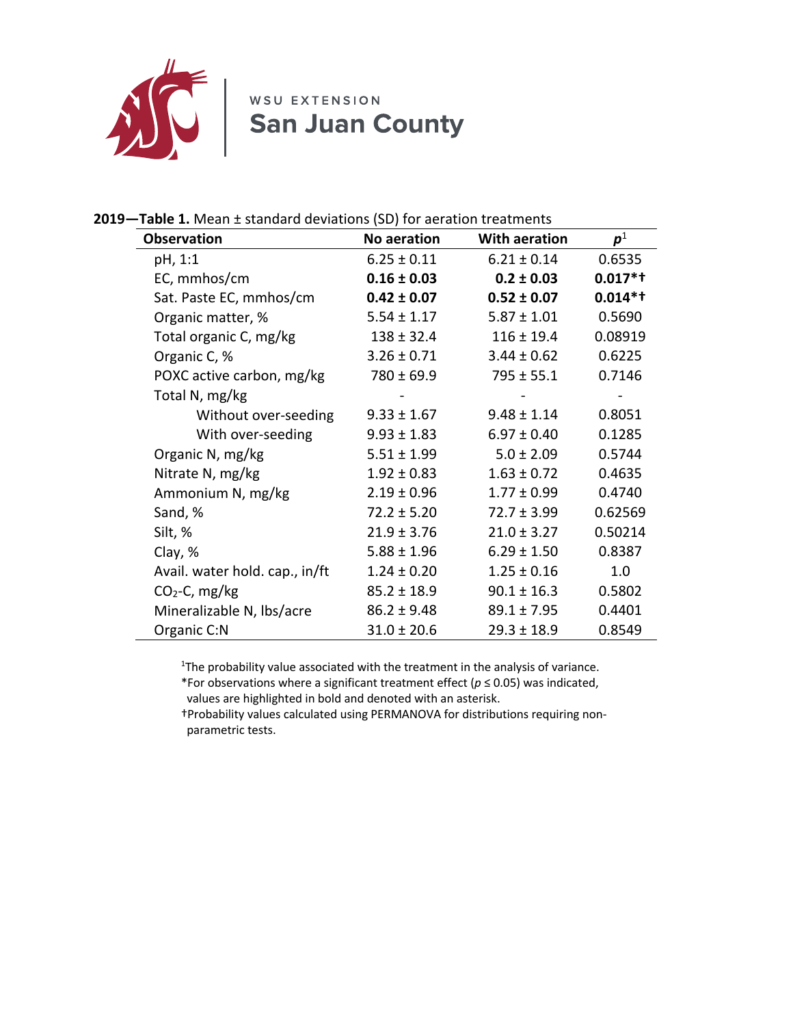

WE WISU EXTENSION

### **2019—Table 1.** Mean ± standard deviations (SD) for aeration treatments

| <b>Observation</b>             | No aeration     | With aeration   | $\boldsymbol{p}^1$ |
|--------------------------------|-----------------|-----------------|--------------------|
| pH, 1:1                        | $6.25 \pm 0.11$ | $6.21 \pm 0.14$ | 0.6535             |
| EC, mmhos/cm                   | $0.16 \pm 0.03$ | $0.2 \pm 0.03$  | $0.017**$          |
| Sat. Paste EC, mmhos/cm        | $0.42 \pm 0.07$ | $0.52 \pm 0.07$ | $0.014**$          |
| Organic matter, %              | $5.54 \pm 1.17$ | $5.87 \pm 1.01$ | 0.5690             |
| Total organic C, mg/kg         | $138 \pm 32.4$  | $116 \pm 19.4$  | 0.08919            |
| Organic C, %                   | $3.26 \pm 0.71$ | $3.44 \pm 0.62$ | 0.6225             |
| POXC active carbon, mg/kg      | $780 \pm 69.9$  | $795 \pm 55.1$  | 0.7146             |
| Total N, mg/kg                 |                 |                 |                    |
| Without over-seeding           | $9.33 \pm 1.67$ | $9.48 \pm 1.14$ | 0.8051             |
| With over-seeding              | $9.93 \pm 1.83$ | $6.97 \pm 0.40$ | 0.1285             |
| Organic N, mg/kg               | $5.51 \pm 1.99$ | $5.0 \pm 2.09$  | 0.5744             |
| Nitrate N, mg/kg               | $1.92 \pm 0.83$ | $1.63 \pm 0.72$ | 0.4635             |
| Ammonium N, mg/kg              | $2.19 \pm 0.96$ | $1.77 \pm 0.99$ | 0.4740             |
| Sand, %                        | $72.2 \pm 5.20$ | $72.7 \pm 3.99$ | 0.62569            |
| Silt, %                        | $21.9 \pm 3.76$ | $21.0 \pm 3.27$ | 0.50214            |
| Clay, %                        | $5.88 \pm 1.96$ | $6.29 \pm 1.50$ | 0.8387             |
| Avail. water hold. cap., in/ft | $1.24 \pm 0.20$ | $1.25 \pm 0.16$ | 1.0                |
| $CO2-C$ , mg/kg                | $85.2 \pm 18.9$ | $90.1 \pm 16.3$ | 0.5802             |
| Mineralizable N, lbs/acre      | $86.2 \pm 9.48$ | $89.1 \pm 7.95$ | 0.4401             |
| Organic C:N                    | $31.0 \pm 20.6$ | $29.3 \pm 18.9$ | 0.8549             |

 $1$ The probability value associated with the treatment in the analysis of variance. \*For observations where a significant treatment effect (*p* ≤ 0.05) was indicated, values are highlighted in bold and denoted with an asterisk.

†Probability values calculated using PERMANOVA for distributions requiring nonparametric tests.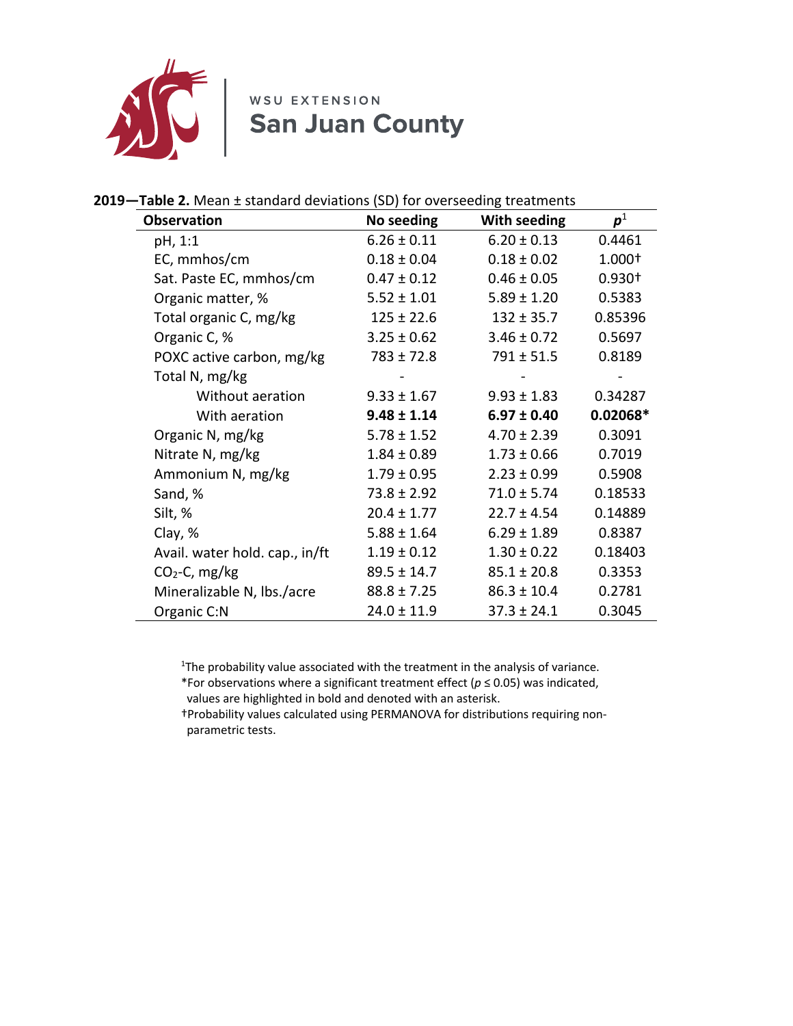

 $\overline{\phantom{a}}$ 

WE WESTENSION<br>San Juan County

|  | 2019-Table 2. Mean ± standard deviations (SD) for overseeding treatments |  |  |  |
|--|--------------------------------------------------------------------------|--|--|--|
|--|--------------------------------------------------------------------------|--|--|--|

| <b>Observation</b>             | No seeding      | With seeding    | $\boldsymbol{p}^1$ |
|--------------------------------|-----------------|-----------------|--------------------|
| pH, 1:1                        | $6.26 \pm 0.11$ | $6.20 \pm 0.13$ | 0.4461             |
| EC, mmhos/cm                   | $0.18 \pm 0.04$ | $0.18 \pm 0.02$ | 1.000+             |
| Sat. Paste EC, mmhos/cm        | $0.47 \pm 0.12$ | $0.46 \pm 0.05$ | $0.930+$           |
| Organic matter, %              | $5.52 \pm 1.01$ | $5.89 \pm 1.20$ | 0.5383             |
| Total organic C, mg/kg         | $125 \pm 22.6$  | $132 \pm 35.7$  | 0.85396            |
| Organic C, %                   | $3.25 \pm 0.62$ | $3.46 \pm 0.72$ | 0.5697             |
| POXC active carbon, mg/kg      | $783 \pm 72.8$  | $791 \pm 51.5$  | 0.8189             |
| Total N, mg/kg                 |                 |                 |                    |
| Without aeration               | $9.33 \pm 1.67$ | $9.93 \pm 1.83$ | 0.34287            |
| With aeration                  | $9.48 \pm 1.14$ | $6.97 \pm 0.40$ | $0.02068*$         |
| Organic N, mg/kg               | $5.78 \pm 1.52$ | $4.70 \pm 2.39$ | 0.3091             |
| Nitrate N, mg/kg               | $1.84 \pm 0.89$ | $1.73 \pm 0.66$ | 0.7019             |
| Ammonium N, mg/kg              | $1.79 \pm 0.95$ | $2.23 \pm 0.99$ | 0.5908             |
| Sand, %                        | $73.8 \pm 2.92$ | $71.0 \pm 5.74$ | 0.18533            |
| Silt, %                        | $20.4 \pm 1.77$ | $22.7 \pm 4.54$ | 0.14889            |
| Clay, %                        | $5.88 \pm 1.64$ | $6.29 \pm 1.89$ | 0.8387             |
| Avail. water hold. cap., in/ft | $1.19 \pm 0.12$ | $1.30 \pm 0.22$ | 0.18403            |
| $CO2-C$ , mg/kg                | $89.5 \pm 14.7$ | $85.1 \pm 20.8$ | 0.3353             |
| Mineralizable N, lbs./acre     | $88.8 \pm 7.25$ | $86.3 \pm 10.4$ | 0.2781             |
| Organic C:N                    | $24.0 \pm 11.9$ | $37.3 \pm 24.1$ | 0.3045             |

 $1$ The probability value associated with the treatment in the analysis of variance. \*For observations where a significant treatment effect (*p* ≤ 0.05) was indicated, values are highlighted in bold and denoted with an asterisk.

†Probability values calculated using PERMANOVA for distributions requiring nonparametric tests.